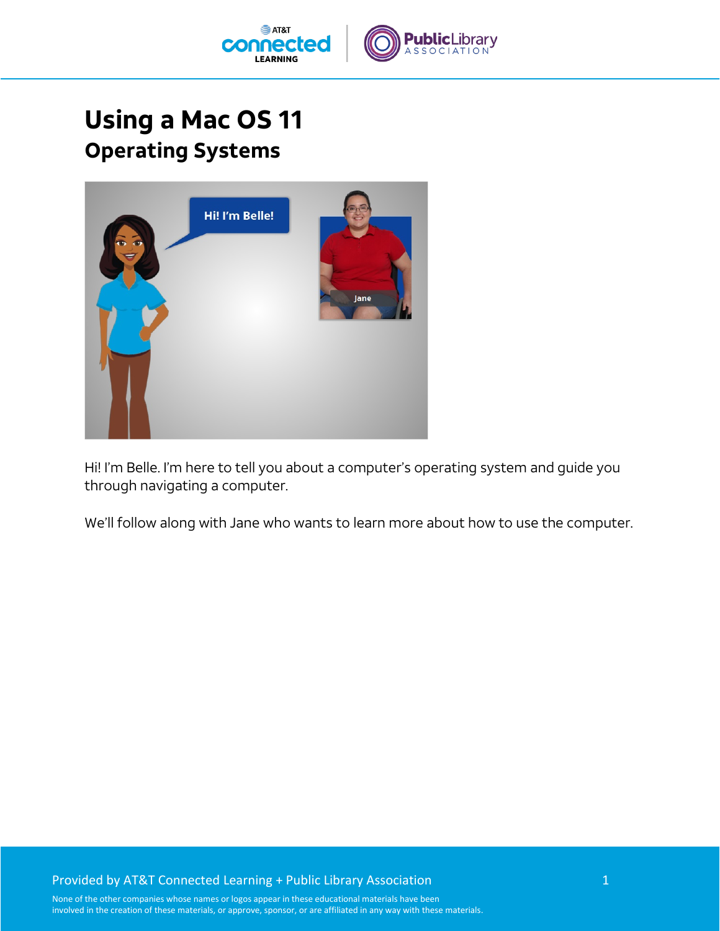

## **Using a Mac OS 11 Operating Systems**



Hi! I'm Belle. I'm here to tell you about a computer's operating system and guide you through navigating a computer.

We'll follow along with Jane who wants to learn more about how to use the computer.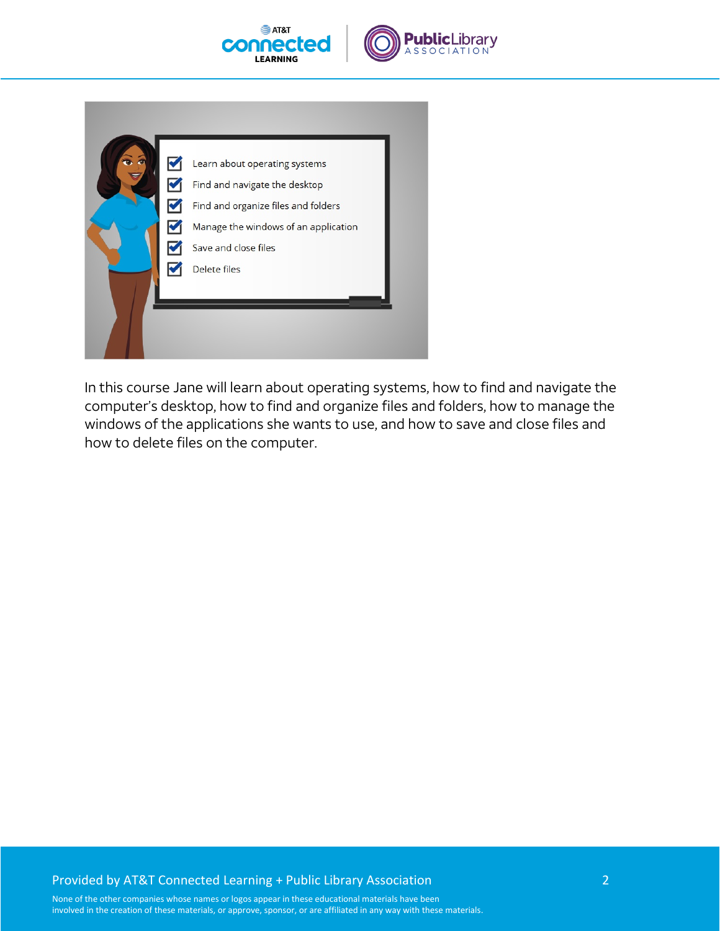



|  | Learn about operating systems        |
|--|--------------------------------------|
|  | Find and navigate the desktop        |
|  | Find and organize files and folders  |
|  | Manage the windows of an application |
|  | Save and close files                 |
|  | <b>Delete files</b>                  |
|  |                                      |
|  |                                      |
|  |                                      |

In this course Jane will learn about operating systems, how to find and navigate the computer's desktop, how to find and organize files and folders, how to manage the windows of the applications she wants to use, and how to save and close files and how to delete files on the computer.

## Provided by AT&T Connected Learning + Public Library Association 2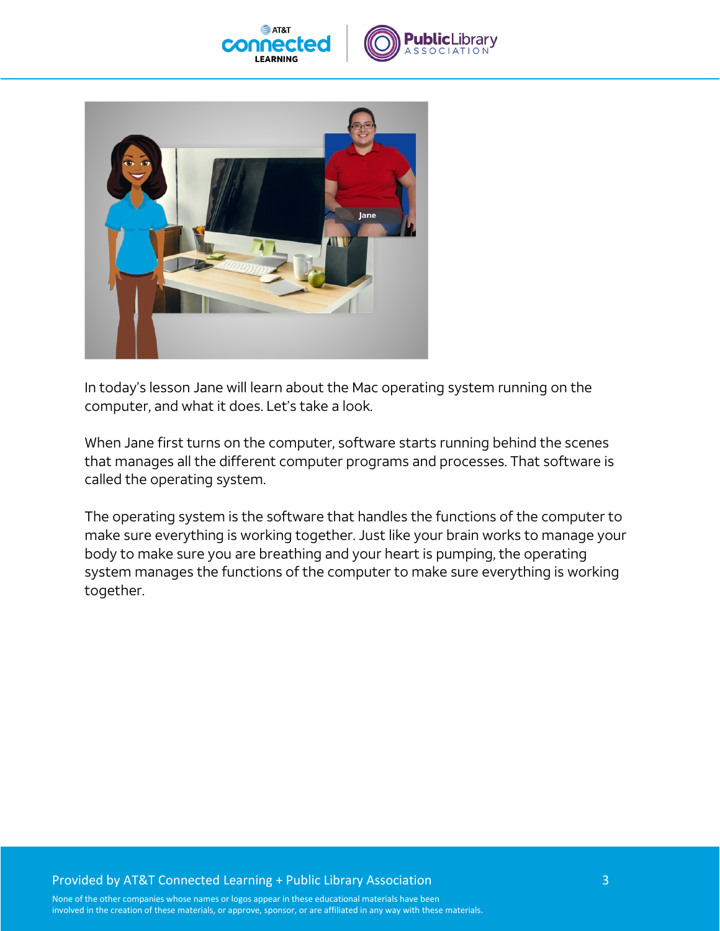





In today's lesson Jane will learn about the Mac operating system running on the computer, and what it does. Let's take a look.

When Jane first turns on the computer, software starts running behind the scenes that manages all the different computer programs and processes. That software is called the operating system.

The operating system is the software that handles the functions of the computer to make sure everything is working together. Just like your brain works to manage your body to make sure you are breathing and your heart is pumping, the operating system manages the functions of the computer to make sure everything is working together.

## Provided by AT&T Connected Learning + Public Library Association 3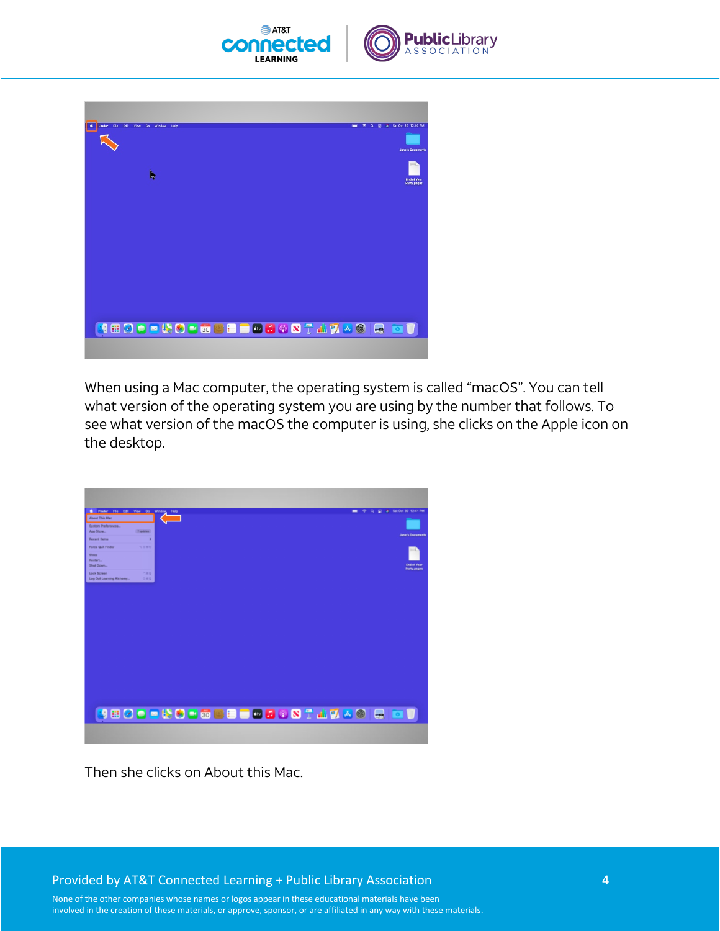



When using a Mac computer, the operating system is called "macOS". You can tell what version of the operating system you are using by the number that follows. To see what version of the macOS the computer is using, she clicks on the Apple icon on the desktop.



Then she clicks on About this Mac.

Provided by AT&T Connected Learning + Public Library Association 4